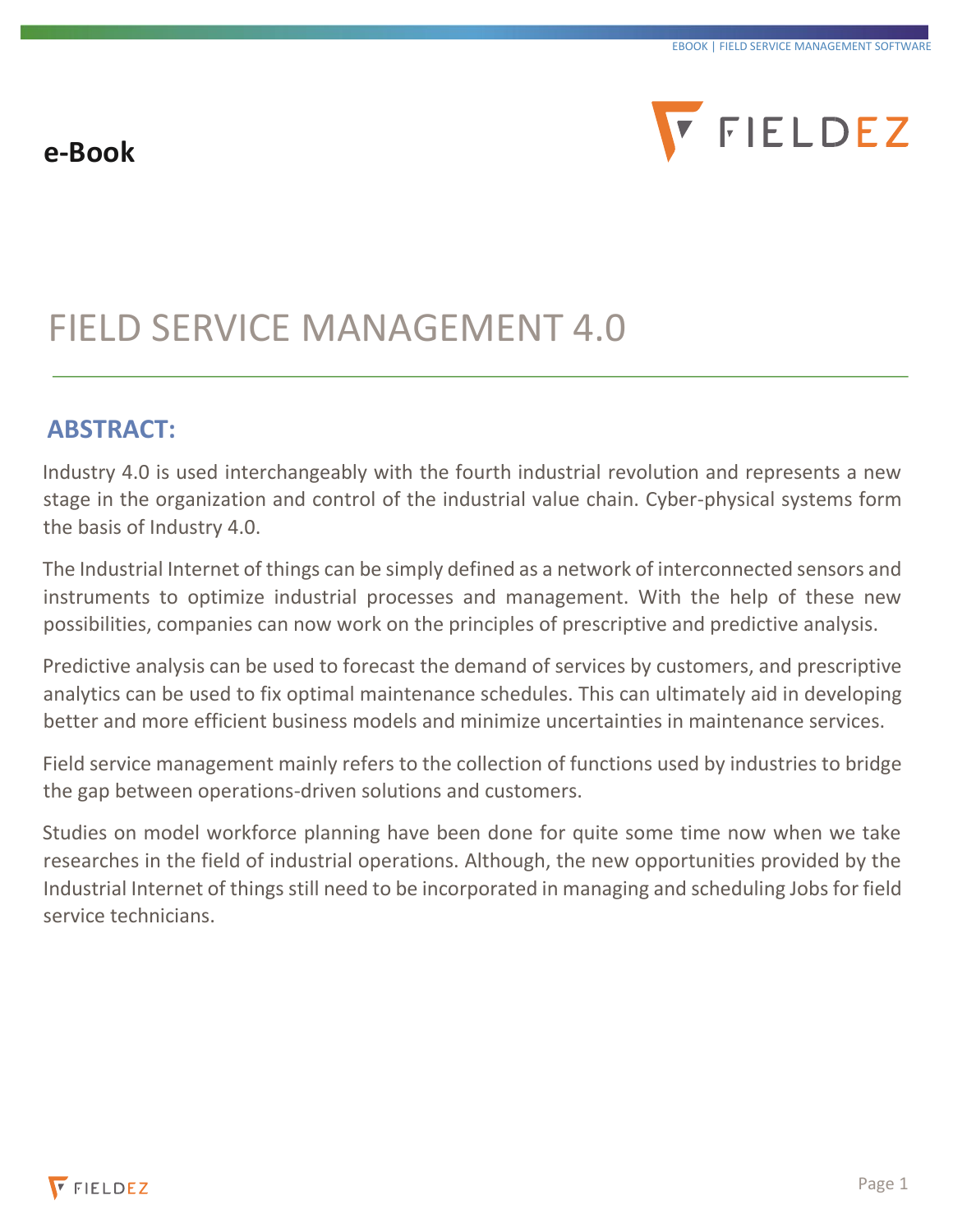# **e-Book**



# FIELD SERVICE MANAGEMENT 4.0

# **ABSTRACT:**

Industry 4.0 is used interchangeably with the fourth industrial revolution and represents a new stage in the organization and control of the industrial value chain. Cyber-physical systems form the basis of Industry 4.0.

The Industrial Internet of things can be simply defined as a network of interconnected sensors and instruments to optimize industrial processes and management. With the help of these new possibilities, companies can now work on the principles of prescriptive and predictive analysis.

Predictive analysis can be used to forecast the demand of services by customers, and prescriptive analytics can be used to fix optimal maintenance schedules. This can ultimately aid in developing better and more efficient business models and minimize uncertainties in maintenance services.

Field service management mainly refers to the collection of functions used by industries to bridge the gap between operations-driven solutions and customers.

Studies on model workforce planning have been done for quite some time now when we take researches in the field of industrial operations. Although, the new opportunities provided by the Industrial Internet of things still need to be incorporated in managing and scheduling Jobs for field service technicians.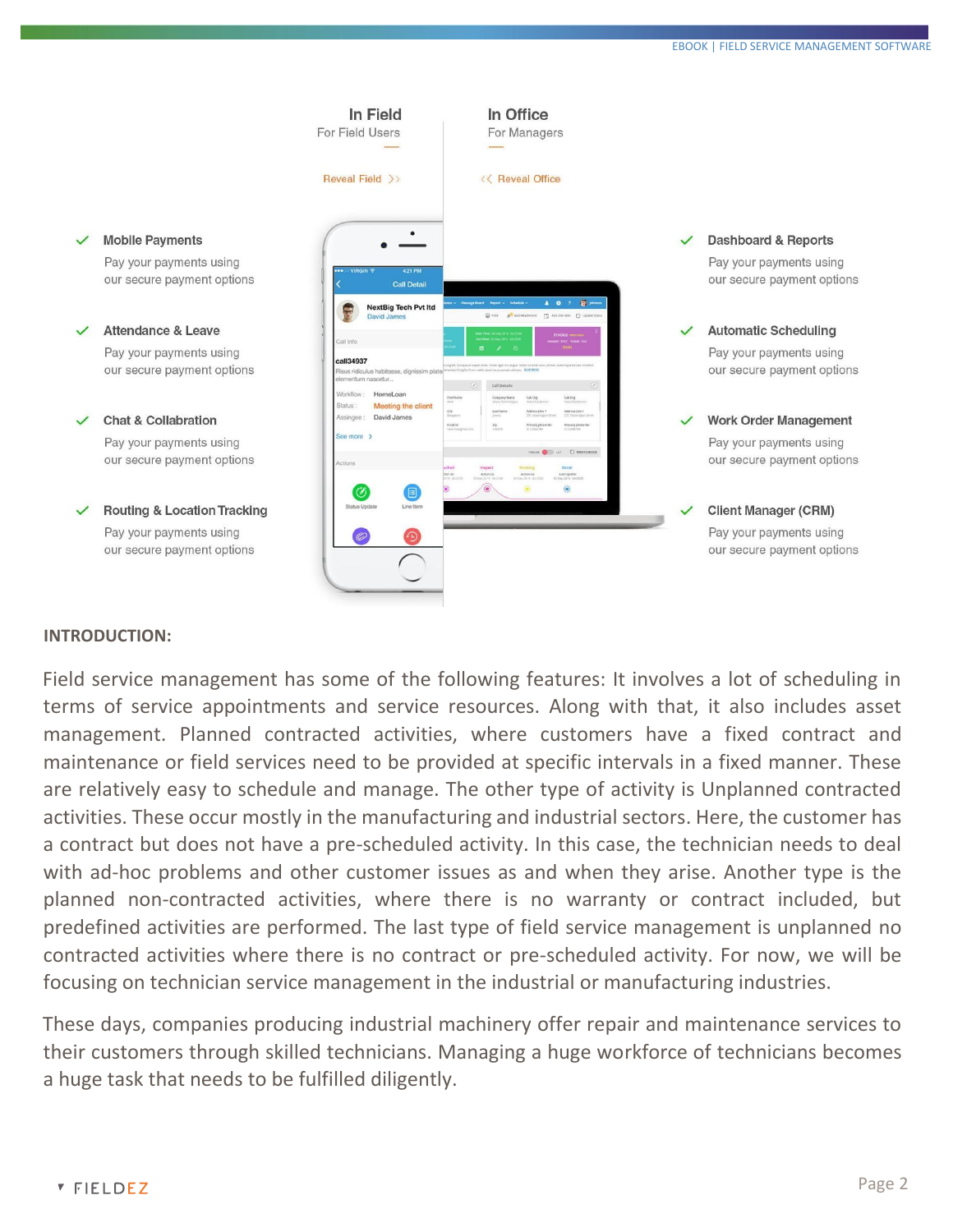

#### **INTRODUCTION:**

Field service management has some of the following features: It involves a lot of scheduling in terms of service appointments and service resources. Along with that, it also includes asset management. Planned contracted activities, where customers have a fixed contract and maintenance or field services need to be provided at specific intervals in a fixed manner. These are relatively easy to schedule and manage. The other type of activity is Unplanned contracted activities. These occur mostly in the manufacturing and industrial sectors. Here, the customer has a contract but does not have a pre-scheduled activity. In this case, the technician needs to deal with ad-hoc problems and other customer issues as and when they arise. Another type is the planned non-contracted activities, where there is no warranty or contract included, but predefined activities are performed. The last type of field service management is unplanned no contracted activities where there is no contract or pre-scheduled activity. For now, we will be focusing on technician service management in the industrial or manufacturing industries.

These days, companies producing industrial machinery offer repair and maintenance services to their customers through skilled technicians. Managing a huge workforce of technicians becomes a huge task that needs to be fulfilled diligently.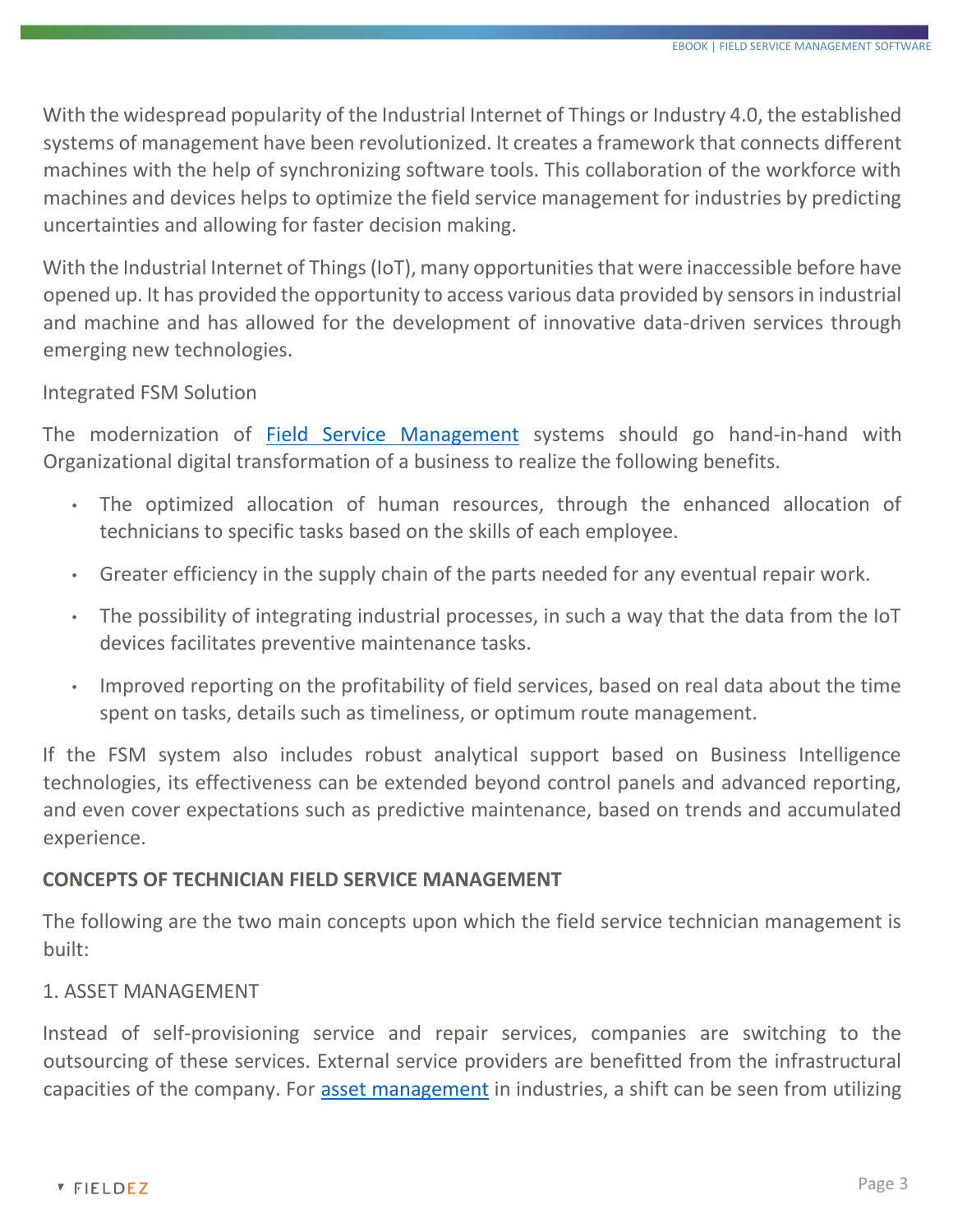With the widespread popularity of the Industrial Internet of Things or Industry 4.0, the established systems of management have been revolutionized. It creates a framework that connects different machines with the help of synchronizing software tools. This collaboration of the workforce with machines and devices helps to optimize the field service management for industries by predicting uncertainties and allowing for faster decision making.

With the Industrial Internet of Things (IoT), many opportunities that were inaccessible before have opened up. It has provided the opportunity to access various data provided by sensors in industrial and machine and has allowed for the development of innovative data-driven services through emerging new technologies.

## Integrated FSM Solution

The modernization of [Field Service Management](https://www.fieldez.com/solution/field-service-management-software/) systems should go hand-in-hand with Organizational digital transformation of a business to realize the following benefits.

- The optimized allocation of human resources, through the enhanced allocation of technicians to specific tasks based on the skills of each employee.
- Greater efficiency in the supply chain of the parts needed for any eventual repair work.
- The possibility of integrating industrial processes, in such a way that the data from the IoT devices facilitates preventive maintenance tasks.
- Improved reporting on the profitability of field services, based on real data about the time spent on tasks, details such as timeliness, or optimum route management.

If the FSM system also includes robust analytical support based on Business Intelligence technologies, its effectiveness can be extended beyond control panels and advanced reporting, and even cover expectations such as predictive maintenance, based on trends and accumulated experience.

## **CONCEPTS OF TECHNICIAN FIELD SERVICE MANAGEMENT**

The following are the two main concepts upon which the field service technician management is built:

## 1. ASSET MANAGEMENT

Instead of self-provisioning service and repair services, companies are switching to the outsourcing of these services. External service providers are benefitted from the infrastructural capacities of the company. For [asset management](https://www.fieldez.com/features/delivery-route-and-asset-tracking-software/) in industries, a shift can be seen from utilizing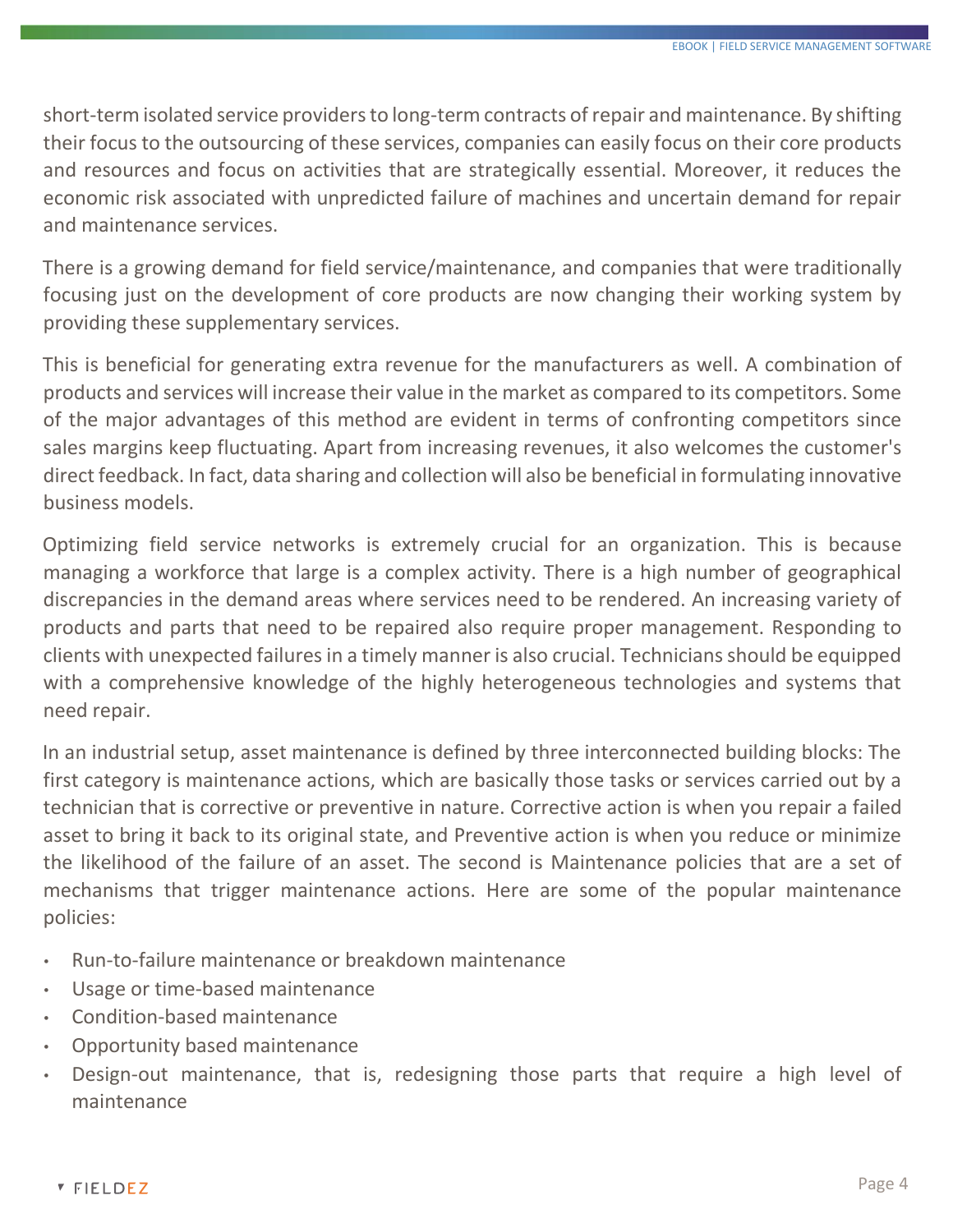short-term isolated service providers to long-term contracts of repair and maintenance. By shifting their focus to the outsourcing of these services, companies can easily focus on their core products and resources and focus on activities that are strategically essential. Moreover, it reduces the economic risk associated with unpredicted failure of machines and uncertain demand for repair and maintenance services.

There is a growing demand for field service/maintenance, and companies that were traditionally focusing just on the development of core products are now changing their working system by providing these supplementary services.

This is beneficial for generating extra revenue for the manufacturers as well. A combination of products and services will increase their value in the market as compared to its competitors. Some of the major advantages of this method are evident in terms of confronting competitors since sales margins keep fluctuating. Apart from increasing revenues, it also welcomes the customer's direct feedback. In fact, data sharing and collection will also be beneficial in formulating innovative business models.

Optimizing field service networks is extremely crucial for an organization. This is because managing a workforce that large is a complex activity. There is a high number of geographical discrepancies in the demand areas where services need to be rendered. An increasing variety of products and parts that need to be repaired also require proper management. Responding to clients with unexpected failures in a timely manner is also crucial. Technicians should be equipped with a comprehensive knowledge of the highly heterogeneous technologies and systems that need repair.

In an industrial setup, asset maintenance is defined by three interconnected building blocks: The first category is maintenance actions, which are basically those tasks or services carried out by a technician that is corrective or preventive in nature. Corrective action is when you repair a failed asset to bring it back to its original state, and Preventive action is when you reduce or minimize the likelihood of the failure of an asset. The second is Maintenance policies that are a set of mechanisms that trigger maintenance actions. Here are some of the popular maintenance policies:

- Run-to-failure maintenance or breakdown maintenance
- Usage or time-based maintenance
- Condition-based maintenance
- Opportunity based maintenance
- Design-out maintenance, that is, redesigning those parts that require a high level of maintenance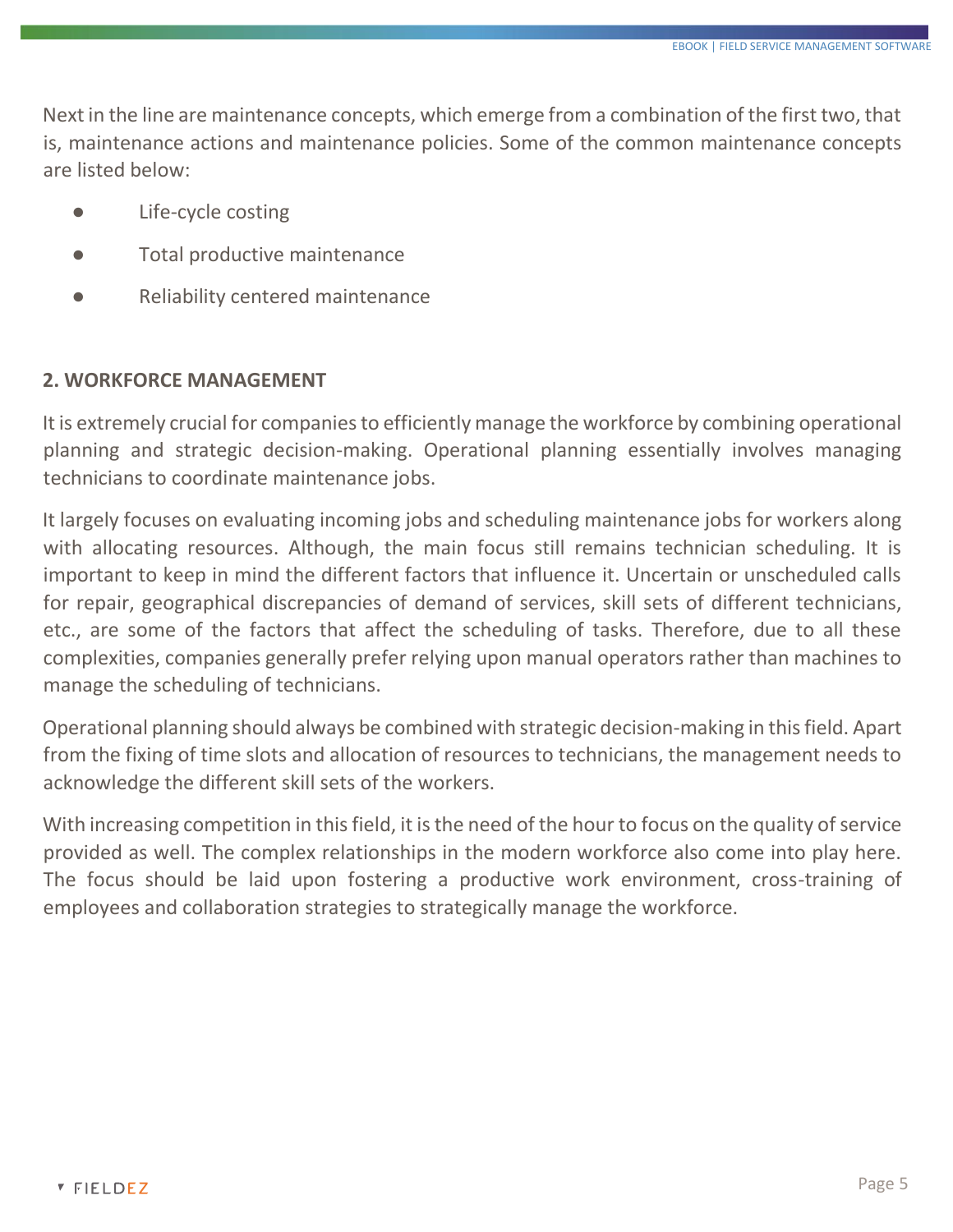Next in the line are maintenance concepts, which emerge from a combination of the first two, that is, maintenance actions and maintenance policies. Some of the common maintenance concepts are listed below:

- Life-cycle costing
- Total productive maintenance
- **Reliability centered maintenance**

#### **2. WORKFORCE MANAGEMENT**

It is extremely crucial for companies to efficiently manage the workforce by combining operational planning and strategic decision-making. Operational planning essentially involves managing technicians to coordinate maintenance jobs.

It largely focuses on evaluating incoming jobs and scheduling maintenance jobs for workers along with allocating resources. Although, the main focus still remains technician scheduling. It is important to keep in mind the different factors that influence it. Uncertain or unscheduled calls for repair, geographical discrepancies of demand of services, skill sets of different technicians, etc., are some of the factors that affect the scheduling of tasks. Therefore, due to all these complexities, companies generally prefer relying upon manual operators rather than machines to manage the scheduling of technicians.

Operational planning should always be combined with strategic decision-making in this field. Apart from the fixing of time slots and allocation of resources to technicians, the management needs to acknowledge the different skill sets of the workers.

With increasing competition in this field, it is the need of the hour to focus on the quality of service provided as well. The complex relationships in the modern workforce also come into play here. The focus should be laid upon fostering a productive work environment, cross-training of employees and collaboration strategies to strategically manage the workforce.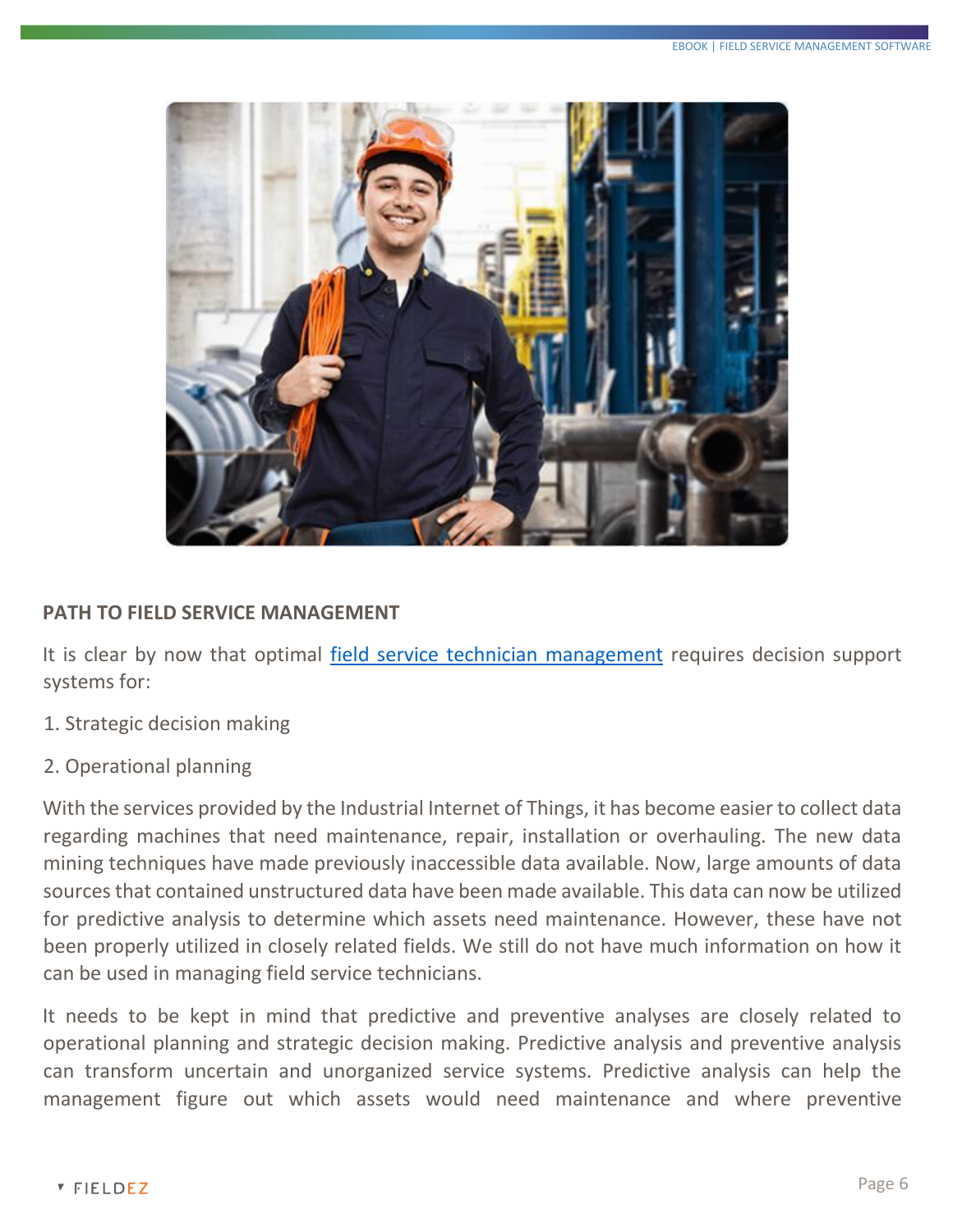

#### **PATH TO FIELD SERVICE MANAGEMENT**

It is clear by now that optimal [field service technician management](https://www.fieldez.com/technician-scheduling-software/) requires decision support systems for:

- 1. Strategic decision making
- 2. Operational planning

With the services provided by the Industrial Internet of Things, it has become easier to collect data regarding machines that need maintenance, repair, installation or overhauling. The new data mining techniques have made previously inaccessible data available. Now, large amounts of data sources that contained unstructured data have been made available. This data can now be utilized for predictive analysis to determine which assets need maintenance. However, these have not been properly utilized in closely related fields. We still do not have much information on how it can be used in managing field service technicians.

It needs to be kept in mind that predictive and preventive analyses are closely related to operational planning and strategic decision making. Predictive analysis and preventive analysis can transform uncertain and unorganized service systems. Predictive analysis can help the management figure out which assets would need maintenance and where preventive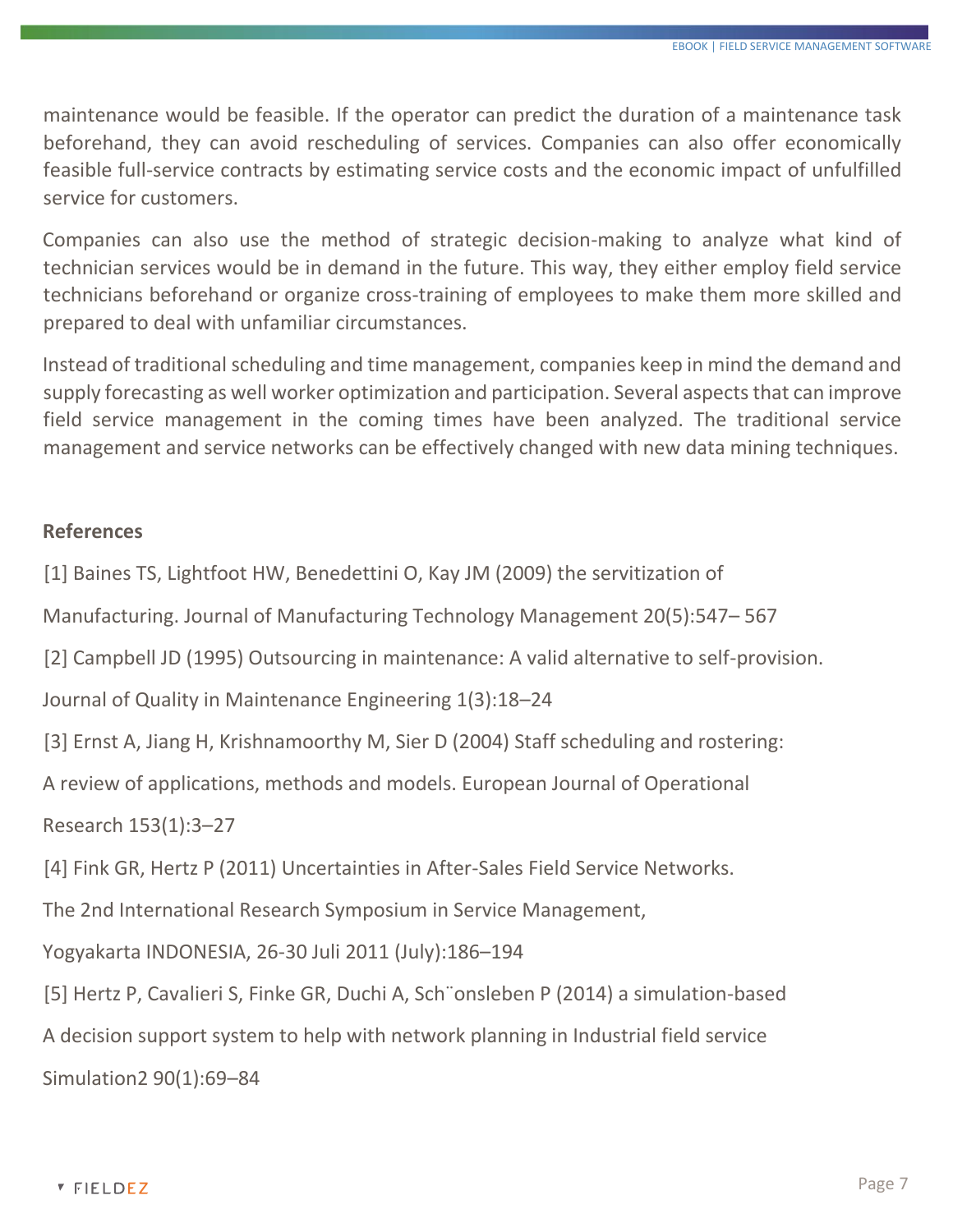maintenance would be feasible. If the operator can predict the duration of a maintenance task beforehand, they can avoid rescheduling of services. Companies can also offer economically feasible full-service contracts by estimating service costs and the economic impact of unfulfilled service for customers.

Companies can also use the method of strategic decision-making to analyze what kind of technician services would be in demand in the future. This way, they either employ field service technicians beforehand or organize cross-training of employees to make them more skilled and prepared to deal with unfamiliar circumstances.

Instead of traditional scheduling and time management, companies keep in mind the demand and supply forecasting as well worker optimization and participation. Several aspects that can improve field service management in the coming times have been analyzed. The traditional service management and service networks can be effectively changed with new data mining techniques.

#### **References**

[1] Baines TS, Lightfoot HW, Benedettini O, Kay JM (2009) the servitization of

Manufacturing. Journal of Manufacturing Technology Management 20(5):547– 567

[2] Campbell JD (1995) Outsourcing in maintenance: A valid alternative to self-provision.

Journal of Quality in Maintenance Engineering 1(3):18–24

[3] Ernst A, Jiang H, Krishnamoorthy M, Sier D (2004) Staff scheduling and rostering:

A review of applications, methods and models. European Journal of Operational

Research 153(1):3–27

[4] Fink GR, Hertz P (2011) Uncertainties in After-Sales Field Service Networks.

The 2nd International Research Symposium in Service Management,

Yogyakarta INDONESIA, 26-30 Juli 2011 (July):186–194

[5] Hertz P, Cavalieri S, Finke GR, Duchi A, Sch¨onsleben P (2014) a simulation-based

A decision support system to help with network planning in Industrial field service Simulation2 90(1):69–84